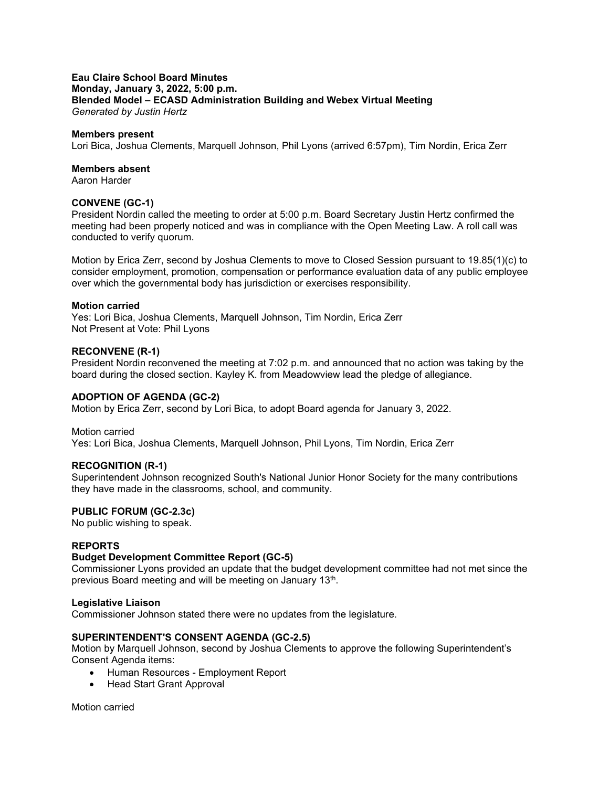### **Eau Claire School Board Minutes Monday, January 3, 2022, 5:00 p.m. Blended Model – ECASD Administration Building and Webex Virtual Meeting** *Generated by Justin Hertz*

#### **Members present**

Lori Bica, Joshua Clements, Marquell Johnson, Phil Lyons (arrived 6:57pm), Tim Nordin, Erica Zerr

#### **Members absent**

Aaron Harder

#### **CONVENE (GC-1)**

President Nordin called the meeting to order at 5:00 p.m. Board Secretary Justin Hertz confirmed the meeting had been properly noticed and was in compliance with the Open Meeting Law. A roll call was conducted to verify quorum.

Motion by Erica Zerr, second by Joshua Clements to move to Closed Session pursuant to 19.85(1)(c) to consider employment, promotion, compensation or performance evaluation data of any public employee over which the governmental body has jurisdiction or exercises responsibility.

#### **Motion carried**

Yes: Lori Bica, Joshua Clements, Marquell Johnson, Tim Nordin, Erica Zerr Not Present at Vote: Phil Lyons

#### **RECONVENE (R-1)**

President Nordin reconvened the meeting at 7:02 p.m. and announced that no action was taking by the board during the closed section. Kayley K. from Meadowview lead the pledge of allegiance.

### **ADOPTION OF AGENDA (GC-2)**

Motion by Erica Zerr, second by Lori Bica, to adopt Board agenda for January 3, 2022.

#### Motion carried

Yes: Lori Bica, Joshua Clements, Marquell Johnson, Phil Lyons, Tim Nordin, Erica Zerr

# **RECOGNITION (R-1)**

Superintendent Johnson recognized South's National Junior Honor Society for the many contributions they have made in the classrooms, school, and community.

# **PUBLIC FORUM (GC-2.3c)**

No public wishing to speak.

# **REPORTS**

# **Budget Development Committee Report (GC-5)**

Commissioner Lyons provided an update that the budget development committee had not met since the previous Board meeting and will be meeting on January 13th.

#### **Legislative Liaison**

Commissioner Johnson stated there were no updates from the legislature.

# **SUPERINTENDENT'S CONSENT AGENDA (GC-2.5)**

Motion by Marquell Johnson, second by Joshua Clements to approve the following Superintendent's Consent Agenda items:

- Human Resources Employment Report
- Head Start Grant Approval

Motion carried